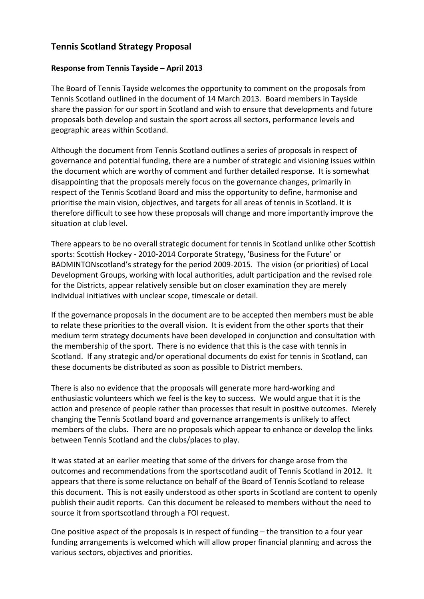## **Tennis Scotland Strategy Proposal**

## **Response from Tennis Tayside - April 2013**

The Board of Tennis Tayside welcomes the opportunity to comment on the proposals from Tennis Scotland outlined in the document of 14 March 2013. Board members in Tayside share the passion for our sport in Scotland and wish to ensure that developments and future proposals both develop and sustain the sport across all sectors, performance levels and geographic areas within Scotland.

Although the document from Tennis Scotland outlines a series of proposals in respect of governance and potential funding, there are a number of strategic and visioning issues within the document which are worthy of comment and further detailed response. It is somewhat disappointing that the proposals merely focus on the governance changes, primarily in respect of the Tennis Scotland Board and miss the opportunity to define, harmonise and prioritise the main vision, objectives, and targets for all areas of tennis in Scotland. It is therefore difficult to see how these proposals will change and more importantly improve the situation at club level.

There appears to be no overall strategic document for tennis in Scotland unlike other Scottish sports: Scottish Hockey - 2010-2014 Corporate Strategy, 'Business for the Future' or BADMINTONscotland's strategy for the period 2009-2015. The vision (or priorities) of Local Development Groups, working with local authorities, adult participation and the revised role for the Districts, appear relatively sensible but on closer examination they are merely individual initiatives with unclear scope, timescale or detail.

If the governance proposals in the document are to be accepted then members must be able to relate these priorities to the overall vision. It is evident from the other sports that their medium term strategy documents have been developed in conjunction and consultation with the membership of the sport. There is no evidence that this is the case with tennis in Scotland. If any strategic and/or operational documents do exist for tennis in Scotland, can these documents be distributed as soon as possible to District members.

There is also no evidence that the proposals will generate more hard-working and enthusiastic volunteers which we feel is the key to success. We would argue that it is the action and presence of people rather than processes that result in positive outcomes. Merely changing the Tennis Scotland board and governance arrangements is unlikely to affect members of the clubs. There are no proposals which appear to enhance or develop the links between Tennis Scotland and the clubs/places to play.

It was stated at an earlier meeting that some of the drivers for change arose from the outcomes and recommendations from the sportscotland audit of Tennis Scotland in 2012. It appears that there is some reluctance on behalf of the Board of Tennis Scotland to release this document. This is not easily understood as other sports in Scotland are content to openly publish their audit reports. Can this document be released to members without the need to source it from sportscotland through a FOI request.

One positive aspect of the proposals is in respect of funding  $-$  the transition to a four year funding arrangements is welcomed which will allow proper financial planning and across the various sectors, objectives and priorities.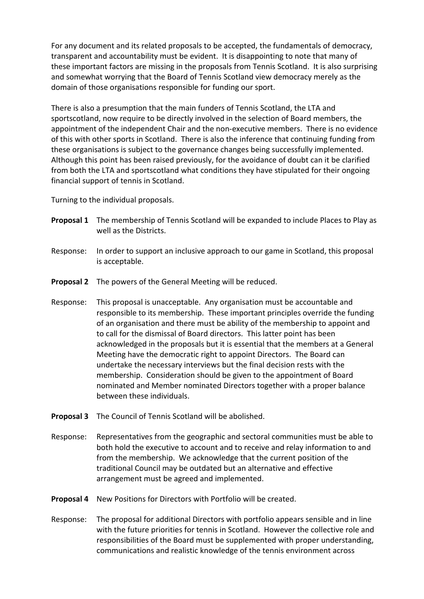For any document and its related proposals to be accepted, the fundamentals of democracy, transparent and accountability must be evident. It is disappointing to note that many of these important factors are missing in the proposals from Tennis Scotland. It is also surprising and somewhat worrying that the Board of Tennis Scotland view democracy merely as the domain of those organisations responsible for funding our sport.

There is also a presumption that the main funders of Tennis Scotland, the LTA and sportscotland, now require to be directly involved in the selection of Board members, the appointment of the independent Chair and the non-executive members. There is no evidence of this with other sports in Scotland. There is also the inference that continuing funding from these organisations is subject to the governance changes being successfully implemented. Although this point has been raised previously, for the avoidance of doubt can it be clarified from both the LTA and sportscotland what conditions they have stipulated for their ongoing financial support of tennis in Scotland.

Turning to the individual proposals.

- **Proposal 1** The membership of Tennis Scotland will be expanded to include Places to Play as well as the Districts.
- Response: In order to support an inclusive approach to our game in Scotland, this proposal is acceptable.
- **Proposal 2** The powers of the General Meeting will be reduced.
- Response: This proposal is unacceptable. Any organisation must be accountable and responsible to its membership. These important principles override the funding of an organisation and there must be ability of the membership to appoint and to call for the dismissal of Board directors. This latter point has been acknowledged in the proposals but it is essential that the members at a General Meeting have the democratic right to appoint Directors. The Board can undertake the necessary interviews but the final decision rests with the membership. Consideration should be given to the appointment of Board nominated and Member nominated Directors together with a proper balance between these individuals.
- **Proposal 3** The Council of Tennis Scotland will be abolished.
- Response: Representatives from the geographic and sectoral communities must be able to both hold the executive to account and to receive and relay information to and from the membership. We acknowledge that the current position of the traditional Council may be outdated but an alternative and effective arrangement must be agreed and implemented.
- **Proposal 4** New Positions for Directors with Portfolio will be created.
- Response: The proposal for additional Directors with portfolio appears sensible and in line with the future priorities for tennis in Scotland. However the collective role and responsibilities of the Board must be supplemented with proper understanding, communications and realistic knowledge of the tennis environment across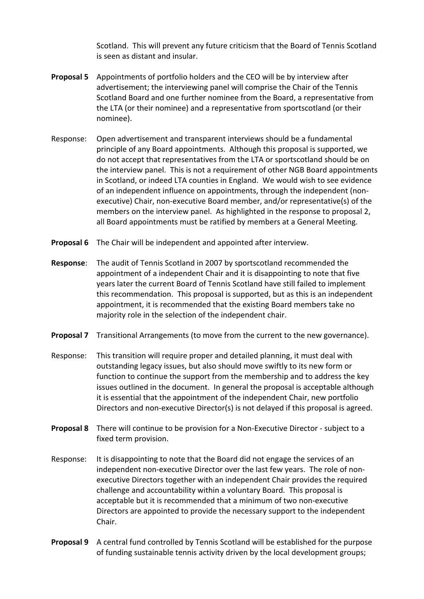Scotland. This will prevent any future criticism that the Board of Tennis Scotland is seen as distant and insular.

- **Proposal 5** Appointments of portfolio holders and the CEO will be by interview after advertisement; the interviewing panel will comprise the Chair of the Tennis Scotland Board and one further nominee from the Board, a representative from the LTA (or their nominee) and a representative from sportscotland (or their nominee).
- Response: Open advertisement and transparent interviews should be a fundamental principle of any Board appointments. Although this proposal is supported, we do not accept that representatives from the LTA or sportscotland should be on the interview panel. This is not a requirement of other NGB Board appointments in Scotland, or indeed LTA counties in England. We would wish to see evidence of an independent influence on appointments, through the independent (nonexecutive) Chair, non-executive Board member, and/or representative(s) of the members on the interview panel. As highlighted in the response to proposal 2, all Board appointments must be ratified by members at a General Meeting.
- **Proposal 6** The Chair will be independent and appointed after interview.
- **Response:** The audit of Tennis Scotland in 2007 by sportscotland recommended the appointment of a independent Chair and it is disappointing to note that five years later the current Board of Tennis Scotland have still failed to implement this recommendation. This proposal is supported, but as this is an independent appointment, it is recommended that the existing Board members take no majority role in the selection of the independent chair.
- **Proposal 7** Transitional Arrangements (to move from the current to the new governance).
- Response: This transition will require proper and detailed planning, it must deal with outstanding legacy issues, but also should move swiftly to its new form or function to continue the support from the membership and to address the key issues outlined in the document. In general the proposal is acceptable although it is essential that the appointment of the independent Chair, new portfolio Directors and non-executive Director(s) is not delayed if this proposal is agreed.
- **Proposal 8** There will continue to be provision for a Non-Executive Director subject to a fixed term provision.
- Response: It is disappointing to note that the Board did not engage the services of an independent non-executive Director over the last few years. The role of nonexecutive Directors together with an independent Chair provides the required challenge and accountability within a voluntary Board. This proposal is acceptable but it is recommended that a minimum of two non-executive Directors are appointed to provide the necessary support to the independent Chair.
- **Proposal 9** A central fund controlled by Tennis Scotland will be established for the purpose of funding sustainable tennis activity driven by the local development groups;